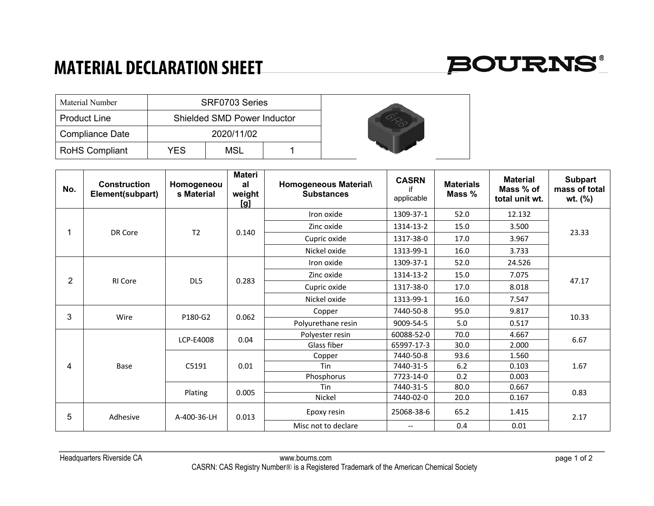## **MATERIAL DECLARATION SHEET**



| Material Number        | SRF0703 Series                     |     |  |  |  |
|------------------------|------------------------------------|-----|--|--|--|
| <b>Product Line</b>    | <b>Shielded SMD Power Inductor</b> |     |  |  |  |
| <b>Compliance Date</b> |                                    |     |  |  |  |
| <b>RoHS Compliant</b>  | YFS                                | MSL |  |  |  |

| No.            | <b>Construction</b><br>Element(subpart) | Homogeneou<br>s Material | <b>Materi</b><br>al<br>weight<br>[g] | Homogeneous Material\<br><b>Substances</b> | <b>CASRN</b><br>if<br>applicable | <b>Materials</b><br>Mass % | <b>Material</b><br>Mass % of<br>total unit wt. | <b>Subpart</b><br>mass of total<br>wt. (%) |
|----------------|-----------------------------------------|--------------------------|--------------------------------------|--------------------------------------------|----------------------------------|----------------------------|------------------------------------------------|--------------------------------------------|
|                | DR Core                                 | T <sub>2</sub>           | 0.140                                | Iron oxide                                 | 1309-37-1                        | 52.0                       | 12.132                                         | 23.33                                      |
|                |                                         |                          |                                      | Zinc oxide                                 | 1314-13-2                        | 15.0                       | 3.500                                          |                                            |
|                |                                         |                          |                                      | Cupric oxide                               | 1317-38-0                        | 17.0                       | 3.967                                          |                                            |
|                |                                         |                          |                                      | Nickel oxide                               | 1313-99-1                        | 16.0                       | 3.733                                          |                                            |
|                | <b>RI</b> Core                          | DL5                      | 0.283                                | Iron oxide                                 | 1309-37-1                        | 52.0                       | 24.526                                         | 47.17                                      |
|                |                                         |                          |                                      | Zinc oxide                                 | 1314-13-2                        | 15.0                       | 7.075                                          |                                            |
| $\overline{2}$ |                                         |                          |                                      | Cupric oxide                               | 1317-38-0                        | 17.0                       | 8.018                                          |                                            |
|                |                                         |                          |                                      | Nickel oxide                               | 1313-99-1                        | 16.0                       | 7.547                                          |                                            |
|                | Wire                                    | P180-G2                  | 0.062                                | Copper                                     | 7440-50-8                        | 95.0                       | 9.817                                          | 10.33                                      |
| 3              |                                         |                          |                                      | Polyurethane resin                         | 9009-54-5                        | 5.0                        | 0.517                                          |                                            |
|                | Base<br>Plating                         | LCP-E4008                | 0.04                                 | Polyester resin                            | 60088-52-0                       | 70.0                       | 4.667                                          | 6.67<br>1.67                               |
|                |                                         |                          |                                      | Glass fiber                                | 65997-17-3                       | 30.0                       | 2.000                                          |                                            |
|                |                                         |                          | 0.01                                 | Copper                                     | 7440-50-8                        | 93.6                       | 1.560                                          |                                            |
| 4              |                                         | C5191                    |                                      | Tin                                        | 7440-31-5                        | 6.2                        | 0.103                                          |                                            |
|                |                                         |                          |                                      | Phosphorus                                 | 7723-14-0                        | 0.2                        | 0.003                                          |                                            |
|                |                                         |                          | 0.005                                | Tin                                        | 7440-31-5                        | 80.0                       | 0.667                                          | 0.83                                       |
|                |                                         |                          |                                      | Nickel                                     | 7440-02-0                        | 20.0                       | 0.167                                          |                                            |
| 5              | Adhesive                                | A-400-36-LH              | 0.013                                | Epoxy resin                                | 25068-38-6                       | 65.2                       | 1.415                                          | 2.17                                       |
|                |                                         |                          |                                      | Misc not to declare                        | $- -$                            | 0.4                        | 0.01                                           |                                            |